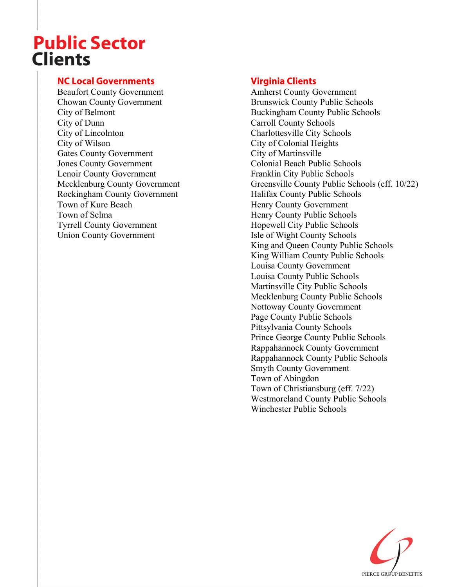# **Public Sector Clients**

#### **NC Local Governments**

Beaufort County Government Chowan County Government City of Belmont City of Dunn City of Lincolnton City of Wilson Gates County Government Jones County Government Lenoir County Government Mecklenburg County Government Rockingham County Government Town of Kure Beach Town of Selma Tyrrell County Government Union County Government

#### **Virginia Clients**

Amherst County Government Brunswick County Public Schools Buckingham County Public Schools Carroll County Schools Charlottesville City Schools City of Colonial Heights City of Martinsville Colonial Beach Public Schools Franklin City Public Schools Greensville County Public Schools (eff. 10/22) Halifax County Public Schools Henry County Government Henry County Public Schools Hopewell City Public Schools Isle of Wight County Schools King and Queen County Public Schools King William County Public Schools Louisa County Government Louisa County Public Schools Martinsville City Public Schools Mecklenburg County Public Schools Nottoway County Government Page County Public Schools Pittsylvania County Schools Prince George County Public Schools Rappahannock County Government Rappahannock County Public Schools Smyth County Government Town of Abingdon Town of Christiansburg (eff. 7/22) Westmoreland County Public Schools Winchester Public Schools

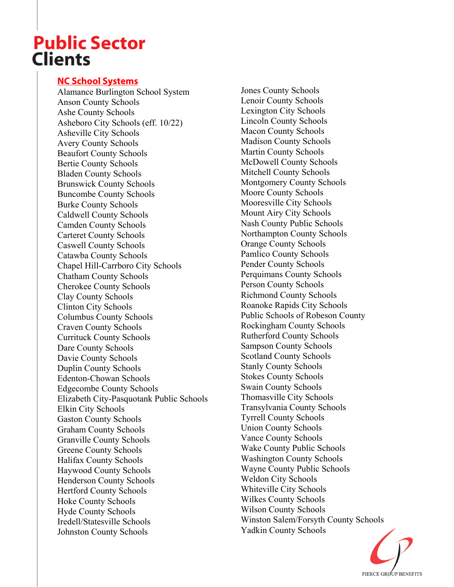## **Public Sector Clients**

#### **NC School Systems**

Alamance Burlington School System Anson County Schools Ashe County Schools Asheboro City Schools (eff. 10/22) Asheville City Schools Avery County Schools Beaufort County Schools Bertie County Schools Bladen County Schools Brunswick County Schools Buncombe County Schools Burke County Schools Caldwell County Schools Camden County Schools Carteret County Schools Caswell County Schools Catawba County Schools Chapel Hill-Carrboro City Schools Chatham County Schools Cherokee County Schools Clay County Schools Clinton City Schools Columbus County Schools Craven County Schools Currituck County Schools Dare County Schools Davie County Schools Duplin County Schools Edenton-Chowan Schools Edgecombe County Schools Elizabeth City-Pasquotank Public Schools Elkin City Schools Gaston County Schools Graham County Schools Granville County Schools Greene County Schools Halifax County Schools Haywood County Schools Henderson County Schools Hertford County Schools Hoke County Schools Hyde County Schools Iredell/Statesville Schools Johnston County Schools

Jones County Schools Lenoir County Schools Lexington City Schools Lincoln County Schools Macon County Schools Madison County Schools Martin County Schools McDowell County Schools Mitchell County Schools Montgomery County Schools Moore County Schools Mooresville City Schools Mount Airy City Schools Nash County Public Schools Northampton County Schools Orange County Schools Pamlico County Schools Pender County Schools Perquimans County Schools Person County Schools Richmond County Schools Roanoke Rapids City Schools Public Schools of Robeson County Rockingham County Schools Rutherford County Schools Sampson County Schools Scotland County Schools Stanly County Schools Stokes County Schools Swain County Schools Thomasville City Schools Transylvania County Schools Tyrrell County Schools Union County Schools Vance County Schools Wake County Public Schools Washington County Schools Wayne County Public Schools Weldon City Schools Whiteville City Schools Wilkes County Schools Wilson County Schools Winston Salem/Forsyth County Schools Yadkin County Schools